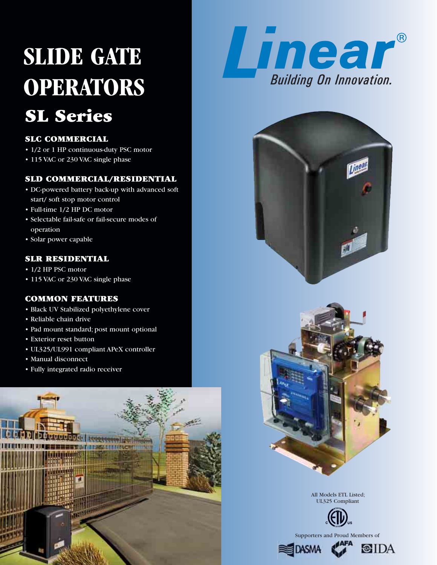# **SL Series SLIDE GATE OPERATORS**

# **SLC COMMERCIAL**

- 1/2 or 1 HP continuous-duty PSC motor
- 115 VAC or 230 VAC single phase

# **SLD COMMERCIAL/RESIDENTIAL**

- DC-powered battery back-up with advanced soft start/ soft stop motor control
- Full-time 1/2 HP DC motor
- Selectable fail-safe or fail-secure modes of operation
- Solar power capable

## **SLR RESIDENTIAL**

- 1/2 HP PSC motor
- 115 VAC or 230 VAC single phase

# **COMMON FEATURES**

- Black UV Stabilized polyethylene cover
- Reliable chain drive
- Pad mount standard; post mount optional
- Exterior reset button
- UL325/UL991 compliant APeX controller
- Manual disconnect
- Fully integrated radio receiver









All Models ETL Listed; UL325 Compliant



Supporters and Proud Members of